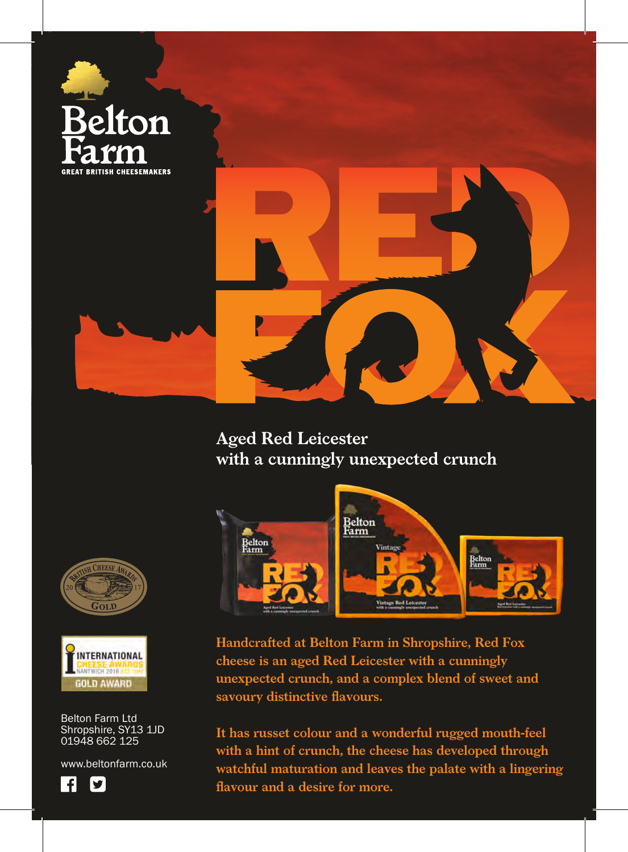

**Aged Red Leicester with a cunningly unexpected crunch**



**Handcrafted at Belton Farm in Shropshire, Red Fox cheese is an aged Red Leicester with a cunningly unexpected crunch, and a complex blend of sweet and savoury distinctive flavours.**

**It has russet colour and a wonderful rugged mouth-feel with a hint of crunch, the cheese has developed through watchful maturation and leaves the palate with a lingering flavour and a desire for more.**





Belton Farm Ltd Shropshire, SY13 1JD 01948 662 125

www.beltonfarm.co.uk